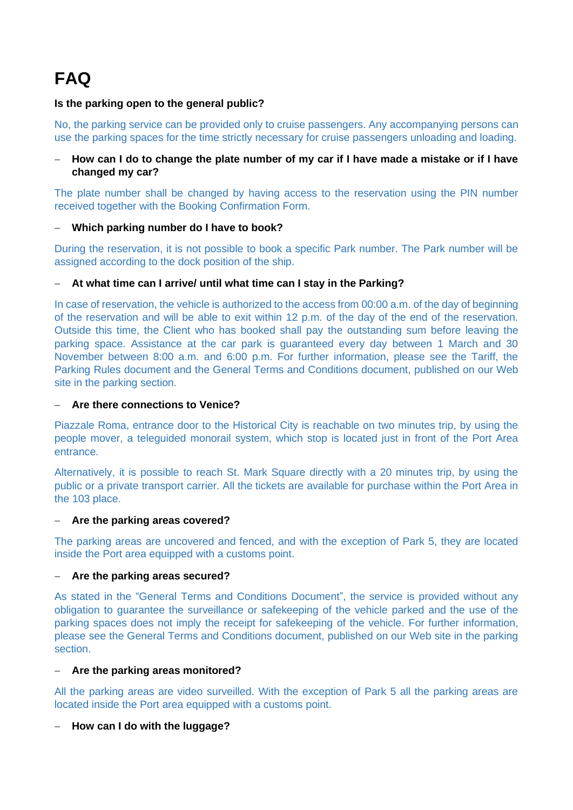# **FAQ**

## **Is the parking open to the general public?**

No, the parking service can be provided only to cruise passengers. Any accompanying persons can use the parking spaces for the time strictly necessary for cruise passengers unloading and loading.

#### − **How can I do to change the plate number of my car if I have made a mistake or if I have changed my car?**

The plate number shall be changed by having access to the reservation using the PIN number received together with the Booking Confirmation Form.

#### − **Which parking number do I have to book?**

During the reservation, it is not possible to book a specific Park number. The Park number will be assigned according to the dock position of the ship.

#### − **At what time can I arrive/ until what time can I stay in the Parking?**

In case of reservation, the vehicle is authorized to the access from 00:00 a.m. of the day of beginning of the reservation and will be able to exit within 12 p.m. of the day of the end of the reservation. Outside this time, the Client who has booked shall pay the outstanding sum before leaving the parking space. Assistance at the car park is guaranteed every day between 1 March and 30 November between 8:00 a.m. and 6:00 p.m. For further information, please see the Tariff, the Parking Rules document and the General Terms and Conditions document, published on our Web site in the parking section.

#### − **Are there connections to Venice?**

Piazzale Roma, entrance door to the Historical City is reachable on two minutes trip, by using the people mover, a teleguided monorail system, which stop is located just in front of the Port Area entrance.

Alternatively, it is possible to reach St. Mark Square directly with a 20 minutes trip, by using the public or a private transport carrier. All the tickets are available for purchase within the Port Area in the 103 place.

#### − **Are the parking areas covered?**

The parking areas are uncovered and fenced, and with the exception of Park 5, they are located inside the Port area equipped with a customs point.

#### − **Are the parking areas secured?**

As stated in the "General Terms and Conditions Document", the service is provided without any obligation to guarantee the surveillance or safekeeping of the vehicle parked and the use of the parking spaces does not imply the receipt for safekeeping of the vehicle. For further information, please see the General Terms and Conditions document, published on our Web site in the parking section.

#### − **Are the parking areas monitored?**

All the parking areas are video surveilled. With the exception of Park 5 all the parking areas are located inside the Port area equipped with a customs point.

#### − **How can I do with the luggage?**